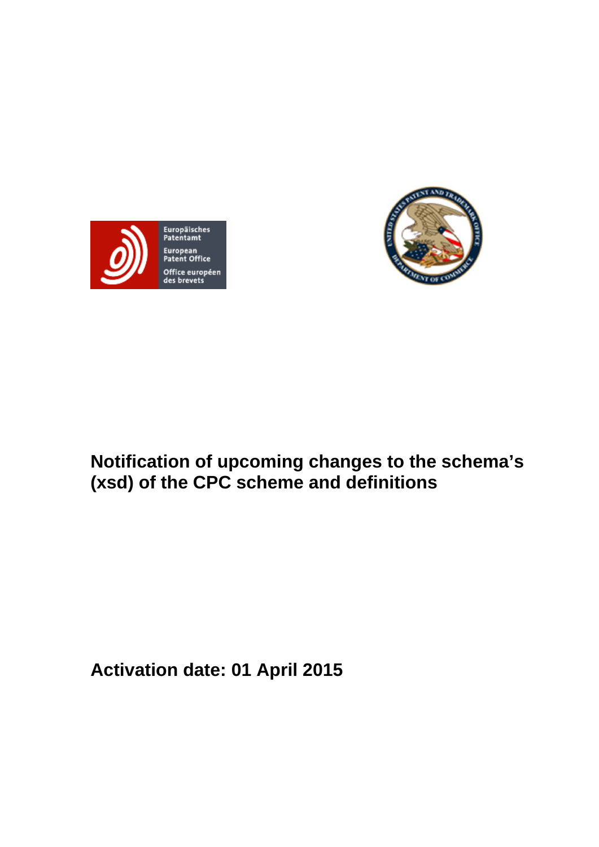



# **Notification of upcoming changes to the schema's (xsd) of the CPC scheme and definitions**

**Activation date: 01 April 2015**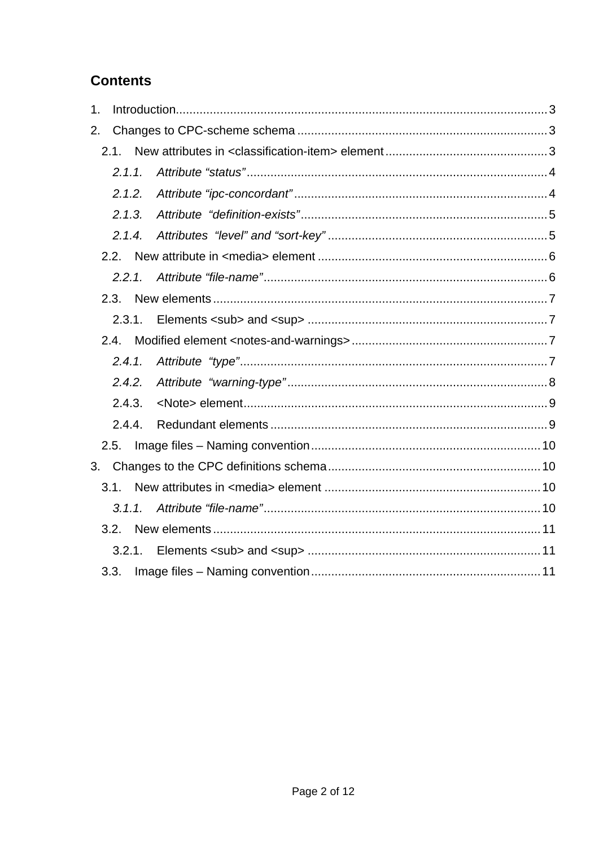## **Contents**

| 1. |        |  |  |
|----|--------|--|--|
| 2. |        |  |  |
|    |        |  |  |
|    | 2.1.1  |  |  |
|    | 2.1.2. |  |  |
|    | 2.1.3. |  |  |
|    | 2.1.4. |  |  |
|    |        |  |  |
|    | 2.2.1. |  |  |
|    | 2.3.   |  |  |
|    | 2.3.1. |  |  |
|    | 2.4.   |  |  |
|    | 2.4.1. |  |  |
|    | 2.4.2. |  |  |
|    | 2.4.3. |  |  |
|    | 2.4.4. |  |  |
|    |        |  |  |
|    |        |  |  |
|    | 3.1.   |  |  |
|    | 3.1.1. |  |  |
|    | 3.2.   |  |  |
|    |        |  |  |
|    | 3.3.   |  |  |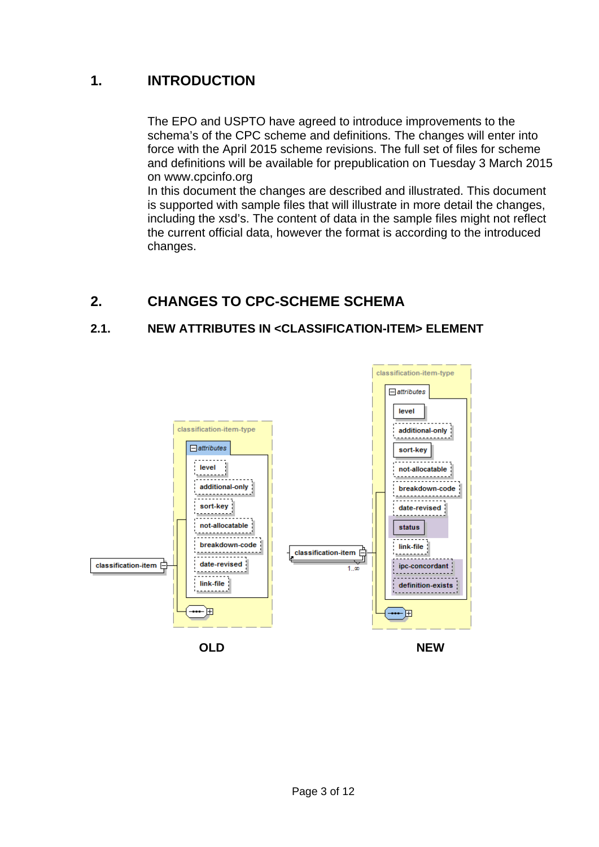## **1. INTRODUCTION**

The EPO and USPTO have agreed to introduce improvements to the schema's of the CPC scheme and definitions. The changes will enter into force with the April 2015 scheme revisions. The full set of files for scheme and definitions will be available for prepublication on Tuesday 3 March 2015 on www.cpcinfo.org

In this document the changes are described and illustrated. This document is supported with sample files that will illustrate in more detail the changes, including the xsd's. The content of data in the sample files might not reflect the current official data, however the format is according to the introduced changes.

## **2. CHANGES TO CPC-SCHEME SCHEMA**

## **2.1. NEW ATTRIBUTES IN <CLASSIFICATION-ITEM> ELEMENT**

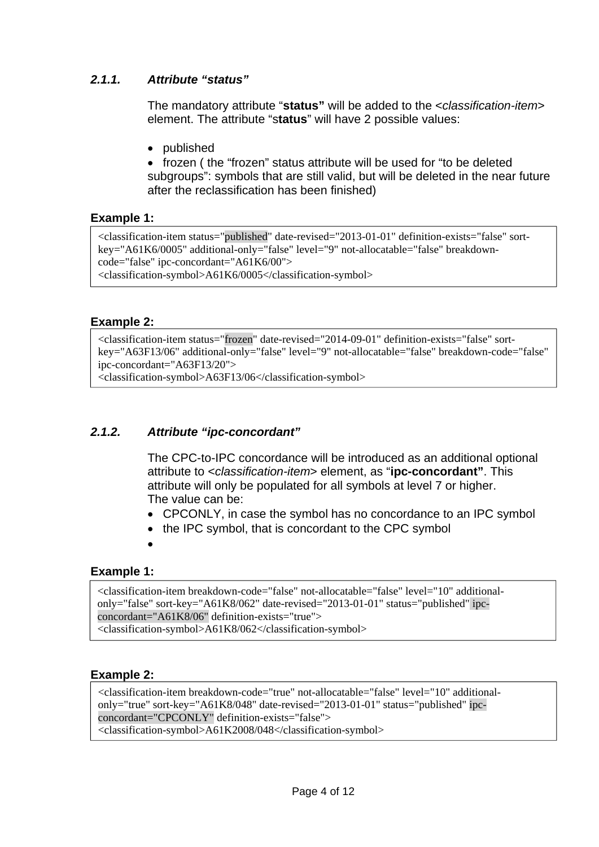## *2.1.1. Attribute "status"*

The mandatory attribute "**status"** will be added to the <*classification-item*> element. The attribute "s**tatus**" will have 2 possible values:

published

• frozen ( the "frozen" status attribute will be used for "to be deleted subgroups": symbols that are still valid, but will be deleted in the near future after the reclassification has been finished)

### **Example 1:**

<classification-item status="published" date-revised="2013-01-01" definition-exists="false" sortkey="A61K6/0005" additional-only="false" level="9" not-allocatable="false" breakdowncode="false" ipc-concordant="A61K6/00"> <classification-symbol>A61K6/0005</classification-symbol>

#### **Example 2:**

<classification-item status="frozen" date-revised="2014-09-01" definition-exists="false" sortkey="A63F13/06" additional-only="false" level="9" not-allocatable="false" breakdown-code="false" ipc-concordant="A63F13/20">

<classification-symbol>A63F13/06</classification-symbol>

## *2.1.2. Attribute "ipc-concordant"*

The CPC-to-IPC concordance will be introduced as an additional optional attribute to <*classification-item*> element, as "**ipc-concordant"**. This attribute will only be populated for all symbols at level 7 or higher. The value can be:

- CPCONLY, in case the symbol has no concordance to an IPC symbol
- the IPC symbol, that is concordant to the CPC symbol
- $\bullet$

#### **Example 1:**

<classification-item breakdown-code="false" not-allocatable="false" level="10" additionalonly="false" sort-key="A61K8/062" date-revised="2013-01-01" status="published" ipcconcordant="A61K8/06" definition-exists="true">

<classification-symbol>A61K8/062</classification-symbol>

#### **Example 2:**

<classification-item breakdown-code="true" not-allocatable="false" level="10" additionalonly="true" sort-key="A61K8/048" date-revised="2013-01-01" status="published" ipcconcordant="CPCONLY" definition-exists="false"> <classification-symbol>A61K2008/048</classification-symbol>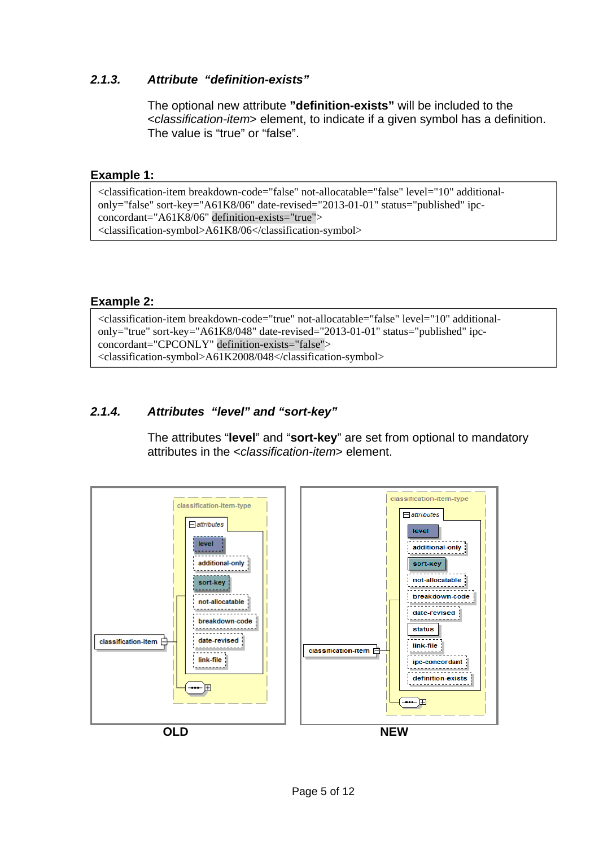## *2.1.3. Attribute "definition-exists"*

The optional new attribute **"definition-exists"** will be included to the <*classification-item*> element, to indicate if a given symbol has a definition. The value is "true" or "false".

#### **Example 1:**

<classification-item breakdown-code="false" not-allocatable="false" level="10" additionalonly="false" sort-key="A61K8/06" date-revised="2013-01-01" status="published" ipcconcordant="A61K8/06" definition-exists="true"> <classification-symbol>A61K8/06</classification-symbol>

#### **Example 2:**

<classification-item breakdown-code="true" not-allocatable="false" level="10" additionalonly="true" sort-key="A61K8/048" date-revised="2013-01-01" status="published" ipcconcordant="CPCONLY" definition-exists="false"> <classification-symbol>A61K2008/048</classification-symbol>

### *2.1.4. Attributes "level" and "sort-key"*

The attributes "**level**" and "**sort-key**" are set from optional to mandatory attributes in the <*classification-item*> element.

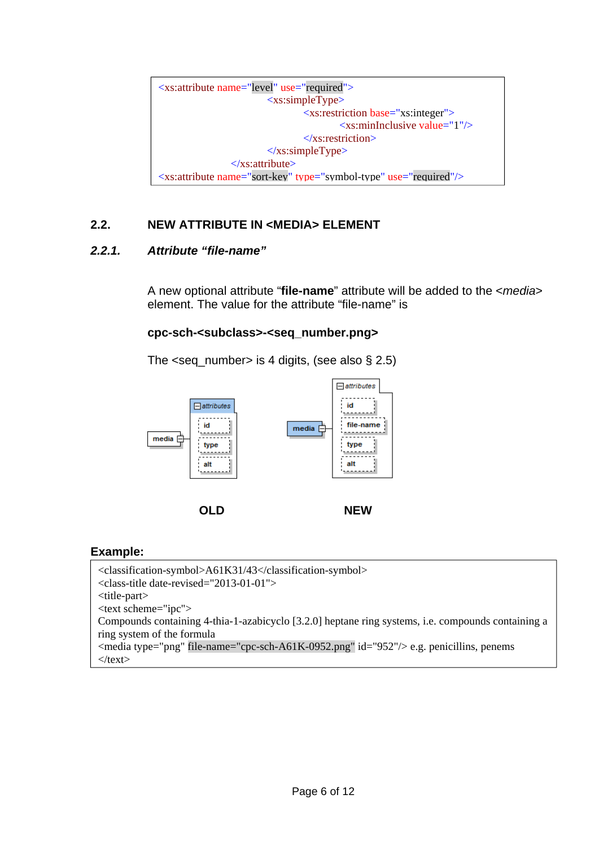<xs:attribute name="level" use="required"> <xs:simpleType> <xs:restriction base="xs:integer"> <xs:minInclusive value="1"/> </xs:restriction>  $\langle x \rangle$ s:simpleType $\langle x \rangle$  </xs:attribute> <xs:attribute name="sort-key" type="symbol-type" use="required"/>

## **2.2. NEW ATTRIBUTE IN <MEDIA> ELEMENT**

### *2.2.1. Attribute "file-name"*

A new optional attribute "**file-name**" attribute will be added to the <*media*> element. The value for the attribute "file-name" is

#### **cpc-sch-<subclass>-<seq\_number.png>**

The  $\leq$ seq\_number > is 4 digits, (see also § 2.5)



#### **Example:**

```
<classification-symbol>A61K31/43</classification-symbol> 
<class-title date-revised="2013-01-01"> 
<title-part> 
<text scheme="ipc"> 
Compounds containing 4-thia-1-azabicyclo [3.2.0] heptane ring systems, i.e. compounds containing a 
ring system of the formula 
\leqmedia type="png" file-name="cpc-sch-A61K-0952.png" id="952"/> e.g. penicillins, penems
\langletext\rangle
```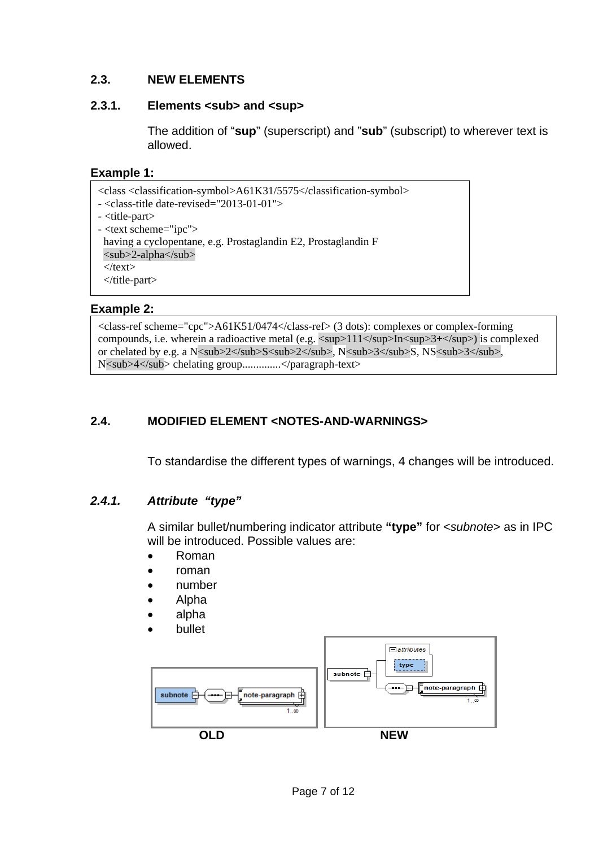## **2.3. NEW ELEMENTS**

#### 2.3.1.</sup> Elements <sub> and <sup>

The addition of "**sup**" (superscript) and "**sub**" (subscript) to wherever text is allowed.

### **Example 1:**

<class <classification-symbol>A61K31/5575</classification-symbol> - <class-title date-revised="2013-01-01"> - <title-part> - <text scheme="ipc"> having a cyclopentane, e.g. Prostaglandin E2, Prostaglandin F <sub>2-alpha</sub>  $\langle$ text $\rangle$ </title-part>

### **Example 2:**

<class-ref scheme="cpc">A61K51/0474</class-ref> (3 dots): complexes or complex-forming compounds, i.e. wherein a radioactive metal (e.g.  $\langle \text{sup>111}\rangle$ /sup>In $\langle \text{sup>3+}\rangle$  is complexed or chelated by e.g. a N<sub>2</sub>S<sub>2</sub>, N<sub>3</sub>S, NS<sub>3</sub>3</sub>, N<sub>4</sub> chelating group...............</paragraph-text>

## **2.4. MODIFIED ELEMENT <NOTES-AND-WARNINGS>**

To standardise the different types of warnings, 4 changes will be introduced.

## *2.4.1. Attribute "type"*

A similar bullet/numbering indicator attribute **"type"** for <*subnote*> as in IPC will be introduced. Possible values are:

- Roman
- roman
- number
- Alpha
- alpha
- bullet

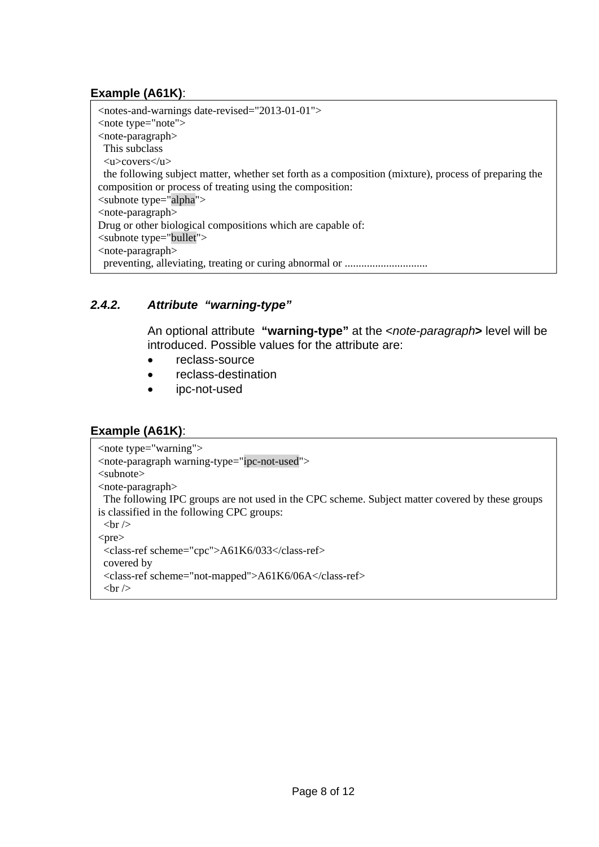## **Example (A61K)**:

<notes-and-warnings date-revised="2013-01-01"> <note type="note"> <note-paragraph> This subclass <u>covers</u> the following subject matter, whether set forth as a composition (mixture), process of preparing the composition or process of treating using the composition: <subnote type="alpha"> <note-paragraph> Drug or other biological compositions which are capable of: <subnote type="bullet"> <note-paragraph> preventing, alleviating, treating or curing abnormal or ..............................

## *2.4.2. Attribute "warning-type"*

An optional attribute **"warning-type"** at the <*note-paragraph***>** level will be introduced. Possible values for the attribute are:

- reclass-source
- reclass-destination
- ipc-not-used

## **Example (A61K)**:

```
<note type="warning"> 
<note-paragraph warning-type="ipc-not-used"> 
<subnote> 
<note-paragraph> 
  The following IPC groups are not used in the CPC scheme. Subject matter covered by these groups 
is classified in the following CPC groups: 
 <br>2<sub>tr</sub> <math>\rightarrow</math><pre> 
  <class-ref scheme="cpc">A61K6/033</class-ref> 
  covered by 
  <class-ref scheme="not-mapped">A61K6/06A</class-ref> 
 \langlebr/
```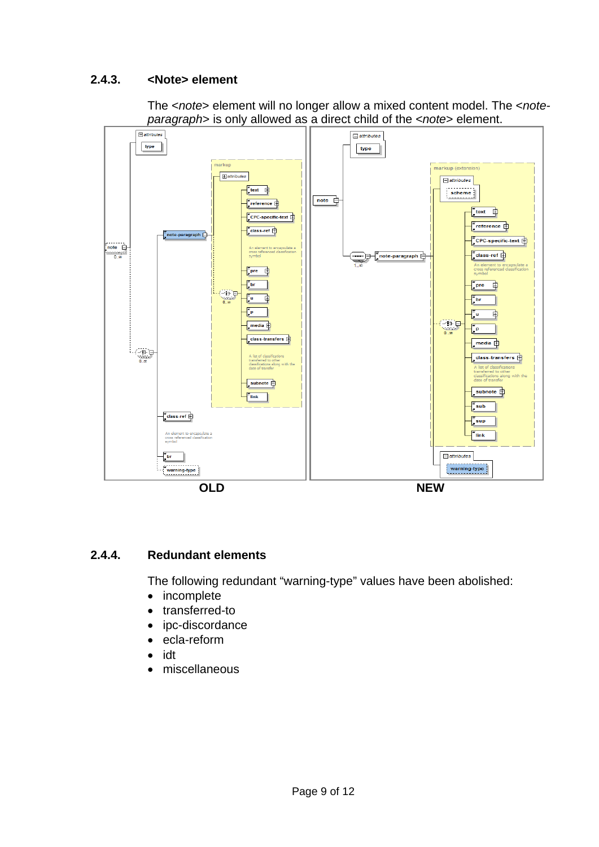## **2.4.3. <Note> element**

The <*note*> element will no longer allow a mixed content model. The <*noteparagraph*> is only allowed as a direct child of the <*note*> element.



#### **2.4.4. Redundant elements**

The following redundant "warning-type" values have been abolished:

- incomplete
- transferred-to
- ipc-discordance
- ecla-reform
- idt
- miscellaneous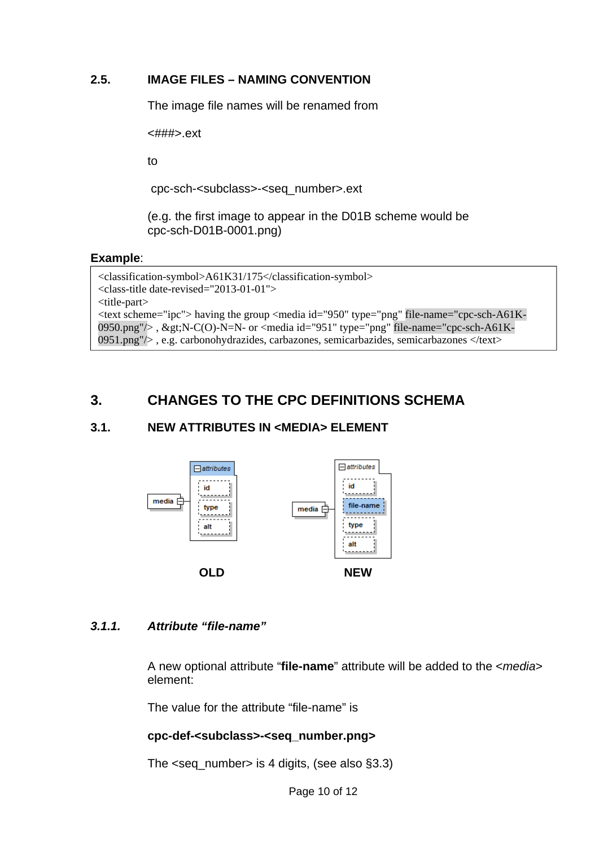## **2.5. IMAGE FILES – NAMING CONVENTION**

The image file names will be renamed from

<###>.ext

to

cpc-sch-<subclass>-<seq\_number>.ext

(e.g. the first image to appear in the D01B scheme would be cpc-sch-D01B-0001.png)

### **Example**:

```
<classification-symbol>A61K31/175</classification-symbol> 
<class-title date-revised="2013-01-01"> 
<title-part> 
<text scheme="ipc"> having the group <media id="950" type="png" file-name="cpc-sch-A61K-
0950.png"/>, >N-C(O)-N=N- or <media id="951" type="png" file-name="cpc-sch-A61K-
0951.png"/> , e.g. carbonohydrazides, carbazones, semicarbazides, semicarbazones </text>
```
## **3. CHANGES TO THE CPC DEFINITIONS SCHEMA**

## **3.1. NEW ATTRIBUTES IN <MEDIA> ELEMENT**



## *3.1.1. Attribute "file-name"*

A new optional attribute "**file-name**" attribute will be added to the <*media*> element:

The value for the attribute "file-name" is

## **cpc-def-<subclass>-<seq\_number.png>**

The <seq\_number> is 4 digits, (see also §3.3)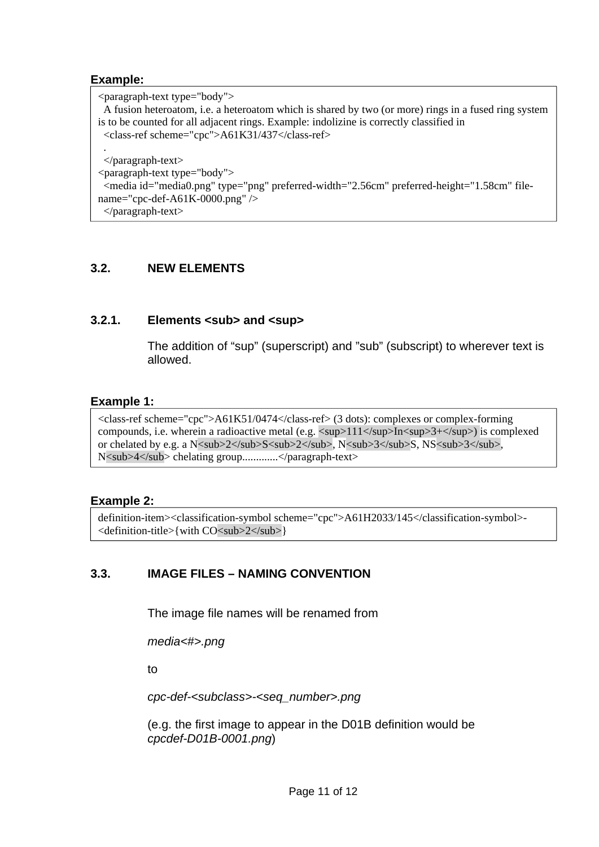#### **Example:**

<paragraph-text type="body"> A fusion heteroatom, i.e. a heteroatom which is shared by two (or more) rings in a fused ring system is to be counted for all adjacent rings. Example: indolizine is correctly classified in <class-ref scheme="cpc">A61K31/437</class-ref> . </paragraph-text> <paragraph-text type="body"> <media id="media0.png" type="png" preferred-width="2.56cm" preferred-height="1.58cm" filename="cpc-def-A61K-0000.png" /> </paragraph-text>

## **3.2. NEW ELEMENTS**

### 3.2.1.</sup> Elements <sub> and <sup>

The addition of "sup" (superscript) and "sub" (subscript) to wherever text is allowed.

#### **Example 1:**

<class-ref scheme="cpc">A61K51/0474</class-ref> (3 dots): complexes or complex-forming compounds, i.e. wherein a radioactive metal (e.g.  $\langle \text{sup>111}\rangle$ /sup $\geq$ In $\langle \text{sup>3+}\rangle$ /sup $\geq$ ) is complexed or chelated by e.g. a N<sub>2</sub>S<sub>2</sub>, N<sub>3</sub>S, NS<sub>3</sub>3</sub> N<sub>4</sub> chelating group.............</paragraph-text>

#### **Example 2:**

definition-item><classification-symbol scheme="cpc">A61H2033/145</classification-symbol>- <definition-title>{with CO<sub>2</sub>}

## **3.3. IMAGE FILES – NAMING CONVENTION**

The image file names will be renamed from

*media<#>.png* 

to

*cpc-def-<subclass>-<seq\_number>.png* 

(e.g. the first image to appear in the D01B definition would be *cpcdef-D01B-0001.png*)